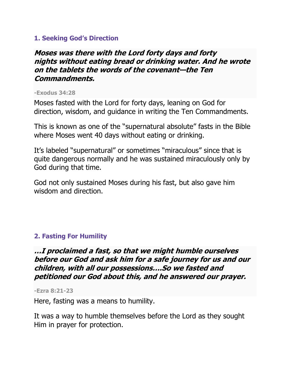#### **1. Seeking God's Direction**

## **Moses was there with the Lord forty days and forty nights without eating bread or drinking water. And he wrote on the tablets the words of the covenant—the Ten Commandments.**

#### **-Exodus 34:28**

Moses fasted with the Lord for forty days, leaning on God for direction, wisdom, and guidance in writing the Ten Commandments.

This is known as one of the "supernatural absolute" fasts in the Bible where Moses went 40 days without eating or drinking.

It's labeled "supernatural" or sometimes "miraculous" since that is quite dangerous normally and he was sustained miraculously only by God during that time.

God not only sustained Moses during his fast, but also gave him wisdom and direction.

## **2. Fasting For Humility**

**…I proclaimed a fast, so that we might humble ourselves before our God and ask him for a safe journey for us and our children, with all our possessions….So we fasted and petitioned our God about this, and he answered our prayer.**

**-Ezra 8:21-23**

Here, fasting was a means to humility.

It was a way to humble themselves before the Lord as they sought Him in prayer for protection.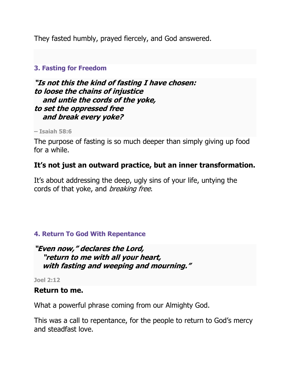They fasted humbly, prayed fiercely, and God answered.

#### **3. Fasting for Freedom**

**"Is not this the kind of fasting I have chosen: to loose the chains of injustice and untie the cords of the yoke, to set the oppressed free and break every yoke?**

**– Isaiah 58:6**

The purpose of fasting is so much deeper than simply giving up food for a while.

# **It's not just an outward practice, but an inner transformation.**

It's about addressing the deep, ugly sins of your life, untying the cords of that yoke, and *breaking free*.

## **4. Return To God With Repentance**

## **"Even now," declares the Lord, "return to me with all your heart, with fasting and weeping and mourning."**

**Joel 2:12**

#### **Return to me.**

What a powerful phrase coming from our Almighty God.

This was a call to repentance, for the people to return to God's mercy and steadfast love.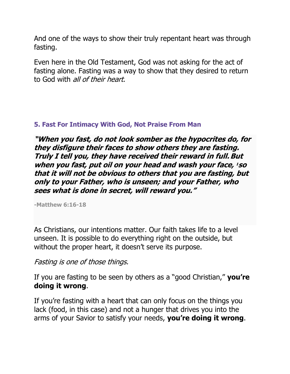And one of the ways to show their truly repentant heart was through fasting.

Even here in the Old Testament, God was not asking for the act of fasting alone. Fasting was a way to show that they desired to return to God with all of their heart.

#### **5. Fast For Intimacy With God, Not Praise From Man**

**"When you fast, do not look somber as the hypocrites do, for they disfigure their faces to show others they are fasting. Truly I tell you, they have received their reward in full.But when you fast, put oil on your head and wash your face, <sup>1</sup> so that it will not be obvious to others that you are fasting, but only to your Father, who is unseen; and your Father, who sees what is done in secret, will reward you."**

**-Matthew 6:16-18**

As Christians, our intentions matter. Our faith takes life to a level unseen. It is possible to do everything right on the outside, but without the proper heart, it doesn't serve its purpose.

Fasting is one of those things.

If you are fasting to be seen by others as a "good Christian," **you're doing it wrong**.

If you're fasting with a heart that can only focus on the things you lack (food, in this case) and not a hunger that drives you into the arms of your Savior to satisfy your needs, **you're doing it wrong**.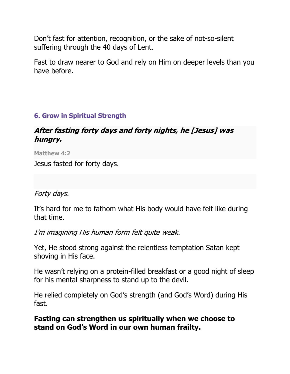Don't fast for attention, recognition, or the sake of not-so-silent suffering through the 40 days of Lent.

Fast to draw nearer to God and rely on Him on deeper levels than you have before.

# **6. Grow in Spiritual Strength**

# **After fasting forty days and forty nights, he [Jesus] was hungry.**

**Matthew 4:2**

Jesus fasted for forty days.

## Forty days.

It's hard for me to fathom what His body would have felt like during that time.

I'm imagining His human form felt quite weak.

Yet, He stood strong against the relentless temptation Satan kept shoving in His face.

He wasn't relying on a protein-filled breakfast or a good night of sleep for his mental sharpness to stand up to the devil.

He relied completely on God's strength (and God's Word) during His fast.

## **Fasting can strengthen us spiritually when we choose to stand on God's Word in our own human frailty.**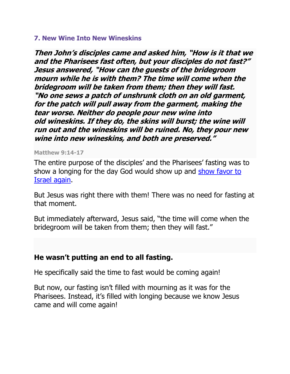#### **7. New Wine Into New Wineskins**

**Then John's disciples came and asked him, "How is it that we and the Pharisees fast often, but your disciples do not fast?" Jesus answered, "How can the guests of the bridegroom mourn while he is with them? The time will come when the bridegroom will be taken from them; then they will fast. "No one sews a patch of unshrunk cloth on an old garment, for the patch will pull away from the garment, making the tear worse. Neither do people pour new wine into old wineskins. If they do, the skins will burst; the wine will run out and the wineskins will be ruined. No, they pour new wine into new wineskins, and both are preserved."**

#### **Matthew 9:14-17**

The entire purpose of the disciples' and the Pharisees' fasting was to [show](https://pastorhistorian.com/2007/11/30/fasting-and-the-new-covenant-exposition-of-matthew-914-17/) a longing for the day God would show up and show favor to Israel [again.](https://pastorhistorian.com/2007/11/30/fasting-and-the-new-covenant-exposition-of-matthew-914-17/)

But Jesus was right there with them! There was no need for fasting at that moment.

But immediately afterward, Jesus said, "the time will come when the bridegroom will be taken from them; then they will fast."

## **He wasn't putting an end to all fasting.**

He specifically said the time to fast would be coming again!

But now, our fasting isn't filled with mourning as it was for the Pharisees. Instead, it's filled with longing because we know Jesus came and will come again!